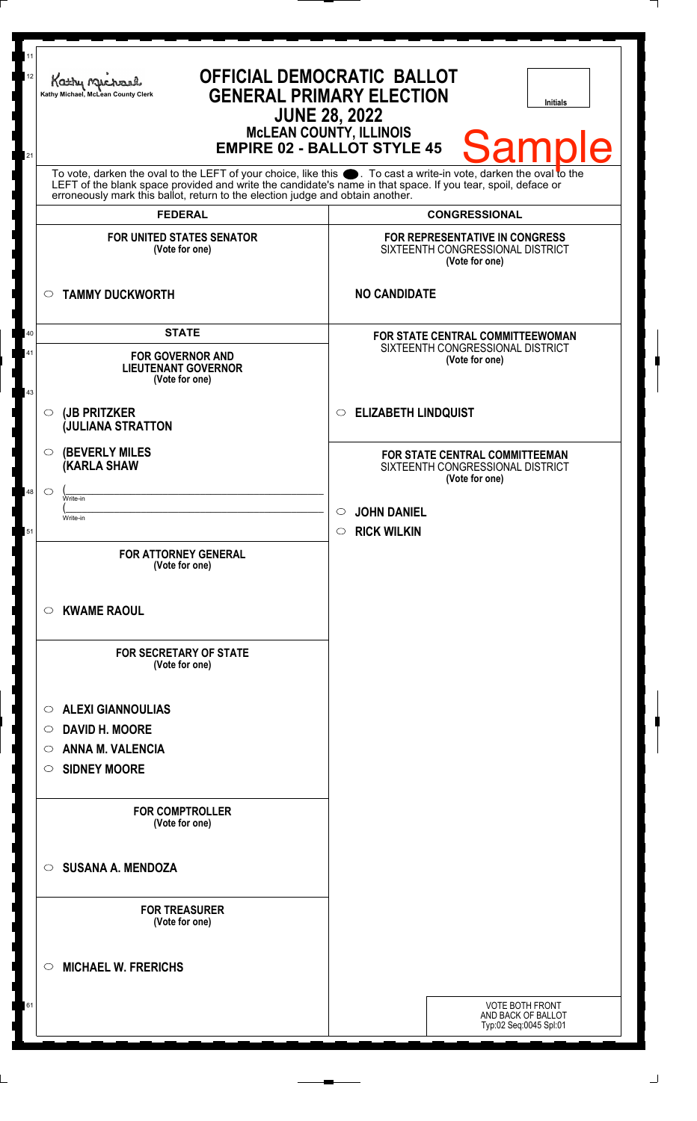| 11<br>12<br>21 | <b>OFFICIAL DEMOCRATIC BALLOT</b><br>Kathy Muc<br><b>GENERAL PRIMARY ELECTION</b><br>Kathy Michael, McLean County Clerk<br><b>Initials</b><br><b>JUNE 28, 2022</b><br><b>MCLEAN COUNTY, ILLINOIS</b><br><b>Sample</b><br><b>EMPIRE 02 - BALLOT STYLE 45</b>                                                                              |                                                 |                                                    |                                                                                      |  |
|----------------|------------------------------------------------------------------------------------------------------------------------------------------------------------------------------------------------------------------------------------------------------------------------------------------------------------------------------------------|-------------------------------------------------|----------------------------------------------------|--------------------------------------------------------------------------------------|--|
|                | To vote, darken the oval to the LEFT of your choice, like this $\bullet$ . To cast a write-in vote, darken the oval to the LEFT of the blank space provided and write the candidate's name in that space. If you tear, spoil, deface<br>erroneously mark this ballot, return to the election judge and obtain another.<br><b>FEDERAL</b> |                                                 |                                                    |                                                                                      |  |
|                |                                                                                                                                                                                                                                                                                                                                          |                                                 | <b>CONGRESSIONAL</b>                               |                                                                                      |  |
|                | <b>FOR UNITED STATES SENATOR</b><br>(Vote for one)                                                                                                                                                                                                                                                                                       |                                                 |                                                    | FOR REPRESENTATIVE IN CONGRESS<br>SIXTEENTH CONGRESSIONAL DISTRICT<br>(Vote for one) |  |
|                | <b>TAMMY DUCKWORTH</b><br>$\circ$                                                                                                                                                                                                                                                                                                        |                                                 | <b>NO CANDIDATE</b>                                |                                                                                      |  |
| 40             | <b>STATE</b><br><b>FOR GOVERNOR AND</b><br><b>LIEUTENANT GOVERNOR</b><br>(Vote for one)                                                                                                                                                                                                                                                  |                                                 | <b>FOR STATE CENTRAL COMMITTEEWOMAN</b>            |                                                                                      |  |
| 41<br>43       |                                                                                                                                                                                                                                                                                                                                          |                                                 | SIXTEENTH CONGRESSIONAL DISTRICT<br>(Vote for one) |                                                                                      |  |
|                | (JB PRITZKER<br>$\circ$<br><b>JULIANA STRATTON</b>                                                                                                                                                                                                                                                                                       |                                                 |                                                    | <b>ELIZABETH LINDQUIST</b><br>$\circ$                                                |  |
|                | <b>(BEVERLY MILES)</b><br>O<br><b>KARLA SHAW</b>                                                                                                                                                                                                                                                                                         |                                                 |                                                    | FOR STATE CENTRAL COMMITTEEMAN<br>SIXTEENTH CONGRESSIONAL DISTRICT<br>(Vote for one) |  |
| 48             | $\circ$<br>Write-in                                                                                                                                                                                                                                                                                                                      |                                                 |                                                    |                                                                                      |  |
|                | Write-in                                                                                                                                                                                                                                                                                                                                 |                                                 | <b>JOHN DANIEL</b><br>$\circ$                      |                                                                                      |  |
| 51             |                                                                                                                                                                                                                                                                                                                                          |                                                 | <b>RICK WILKIN</b><br>$\circ$                      |                                                                                      |  |
|                | <b>FOR ATTORNEY GENERAL</b><br>(Vote for one)                                                                                                                                                                                                                                                                                            |                                                 |                                                    |                                                                                      |  |
|                | <b>KWAME RAOUL</b><br>$\circ$                                                                                                                                                                                                                                                                                                            | <b>FOR SECRETARY OF STATE</b><br>(Vote for one) |                                                    |                                                                                      |  |
|                |                                                                                                                                                                                                                                                                                                                                          |                                                 |                                                    |                                                                                      |  |
|                | <b>ALEXI GIANNOULIAS</b><br>$\circ$<br><b>DAVID H. MOORE</b><br>$\circ$                                                                                                                                                                                                                                                                  |                                                 |                                                    |                                                                                      |  |
|                |                                                                                                                                                                                                                                                                                                                                          |                                                 |                                                    |                                                                                      |  |
|                | <b>ANNA M. VALENCIA</b><br>$\circ$                                                                                                                                                                                                                                                                                                       |                                                 |                                                    |                                                                                      |  |
|                | <b>SIDNEY MOORE</b><br>$\circ$                                                                                                                                                                                                                                                                                                           |                                                 |                                                    |                                                                                      |  |
|                | <b>FOR COMPTROLLER</b><br>(Vote for one)                                                                                                                                                                                                                                                                                                 |                                                 |                                                    |                                                                                      |  |
|                | <b>SUSANA A. MENDOZA</b><br>$\circ$                                                                                                                                                                                                                                                                                                      |                                                 |                                                    |                                                                                      |  |
|                | <b>FOR TREASURER</b><br>(Vote for one)                                                                                                                                                                                                                                                                                                   |                                                 |                                                    |                                                                                      |  |
|                | <b>MICHAEL W. FRERICHS</b><br>◯                                                                                                                                                                                                                                                                                                          |                                                 |                                                    |                                                                                      |  |
| 61             |                                                                                                                                                                                                                                                                                                                                          |                                                 |                                                    | <b>VOTE BOTH FRONT</b><br>AND BACK OF BALLOT<br>Typ:02 Seq:0045 Spl:01               |  |
|                |                                                                                                                                                                                                                                                                                                                                          |                                                 |                                                    |                                                                                      |  |